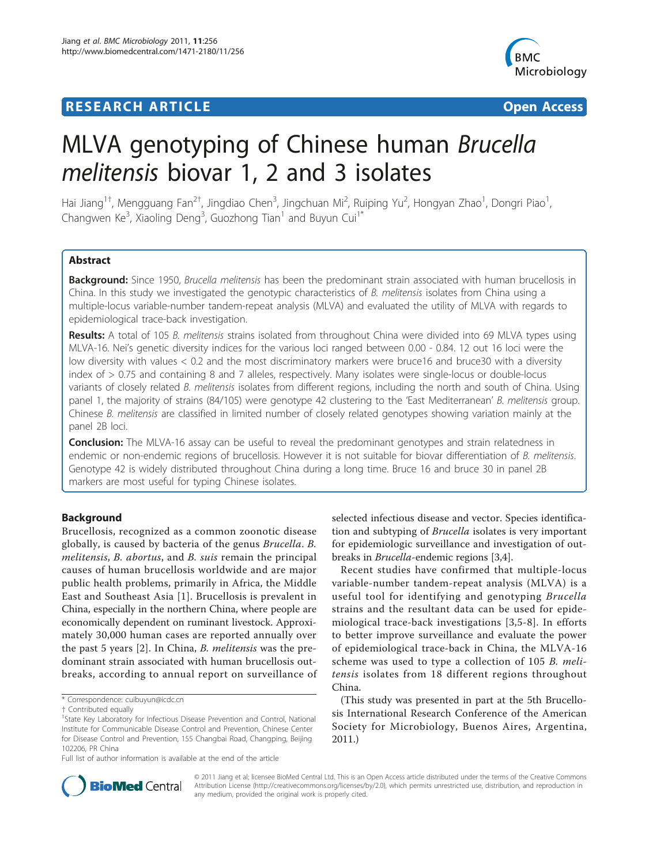# **RESEARCH ARTICLE Example 2018 Open Access**



# MLVA genotyping of Chinese human Brucella melitensis biovar 1, 2 and 3 isolates

Hai Jiang<sup>1†</sup>, Mengguang Fan<sup>2†</sup>, Jingdiao Chen<sup>3</sup>, Jingchuan Mi<sup>2</sup>, Ruiping Yu<sup>2</sup>, Hongyan Zhao<sup>1</sup>, Dongri Piao<sup>1</sup> , Changwen Ke $^3$ , Xiaoling Deng $^3$ , Guozhong Tian $^1$  and Buyun Cui $^1^\ast$ 

# Abstract

Background: Since 1950, Brucella melitensis has been the predominant strain associated with human brucellosis in China. In this study we investigated the genotypic characteristics of B. melitensis isolates from China using a multiple-locus variable-number tandem-repeat analysis (MLVA) and evaluated the utility of MLVA with regards to epidemiological trace-back investigation.

Results: A total of 105 B. melitensis strains isolated from throughout China were divided into 69 MLVA types using MLVA-16. Nei's genetic diversity indices for the various loci ranged between 0.00 - 0.84. 12 out 16 loci were the low diversity with values < 0.2 and the most discriminatory markers were bruce16 and bruce30 with a diversity index of > 0.75 and containing 8 and 7 alleles, respectively. Many isolates were single-locus or double-locus variants of closely related B. melitensis isolates from different regions, including the north and south of China. Using panel 1, the majority of strains (84/105) were genotype 42 clustering to the 'East Mediterranean' B. melitensis group. Chinese B. melitensis are classified in limited number of closely related genotypes showing variation mainly at the panel 2B loci.

**Conclusion:** The MLVA-16 assay can be useful to reveal the predominant genotypes and strain relatedness in endemic or non-endemic regions of brucellosis. However it is not suitable for biovar differentiation of B. melitensis. Genotype 42 is widely distributed throughout China during a long time. Bruce 16 and bruce 30 in panel 2B markers are most useful for typing Chinese isolates.

# Background

Brucellosis, recognized as a common zoonotic disease globally, is caused by bacteria of the genus Brucella. B. melitensis, B. abortus, and B. suis remain the principal causes of human brucellosis worldwide and are major public health problems, primarily in Africa, the Middle East and Southeast Asia [[1](#page-5-0)]. Brucellosis is prevalent in China, especially in the northern China, where people are economically dependent on ruminant livestock. Approximately 30,000 human cases are reported annually over the past 5 years [\[2](#page-5-0)]. In China, B. melitensis was the predominant strain associated with human brucellosis outbreaks, according to annual report on surveillance of selected infectious disease and vector. Species identification and subtyping of Brucella isolates is very important for epidemiologic surveillance and investigation of outbreaks in Brucella-endemic regions [[3,4\]](#page-5-0).

Recent studies have confirmed that multiple-locus variable-number tandem-repeat analysis (MLVA) is a useful tool for identifying and genotyping Brucella strains and the resultant data can be used for epidemiological trace-back investigations [[3](#page-5-0),[5-8\]](#page-5-0). In efforts to better improve surveillance and evaluate the power of epidemiological trace-back in China, the MLVA-16 scheme was used to type a collection of 105 B. melitensis isolates from 18 different regions throughout China.

(This study was presented in part at the 5th Brucellosis International Research Conference of the American Society for Microbiology, Buenos Aires, Argentina, 2011.)



© 2011 Jiang et al; licensee BioMed Central Ltd. This is an Open Access article distributed under the terms of the Creative Commons Attribution License [\(http://creativecommons.org/licenses/by/2.0](http://creativecommons.org/licenses/by/2.0)), which permits unrestricted use, distribution, and reproduction in any medium, provided the original work is properly cited.

<sup>\*</sup> Correspondence: [cuibuyun@icdc.cn](mailto:cuibuyun@icdc.cn)

<sup>†</sup> Contributed equally <sup>1</sup>

<sup>&</sup>lt;sup>1</sup>State Key Laboratory for Infectious Disease Prevention and Control, National Institute for Communicable Disease Control and Prevention, Chinese Center for Disease Control and Prevention, 155 Changbai Road, Changping, Beijing 102206, PR China

Full list of author information is available at the end of the article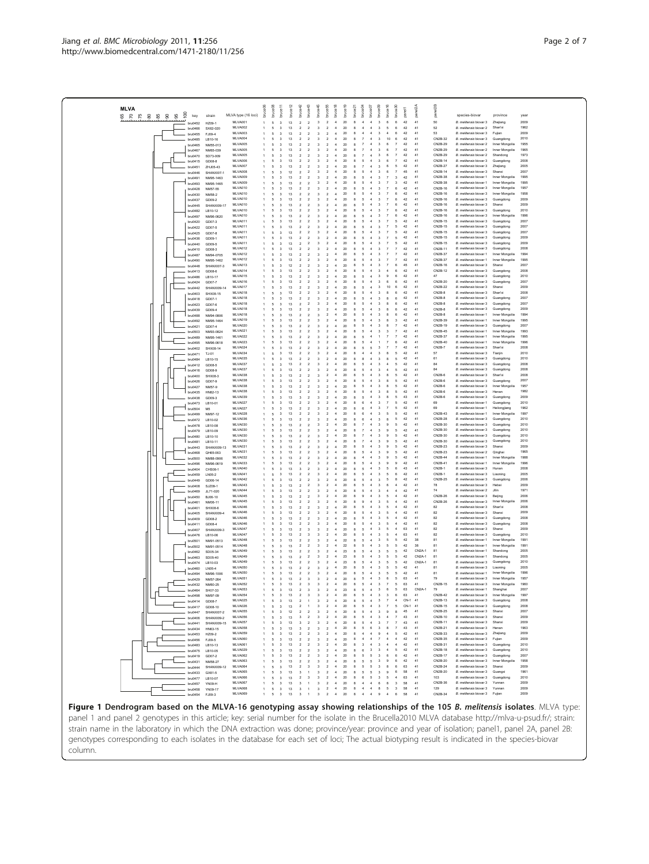<span id="page-1-0"></span>Jiang et al. BMC Microbiology 2011, 11:256

| <b>MLVA</b>               |                                                | bruce06      | bruce08<br>bruce <sup>11</sup>                                          | bruce <sub>12</sub> | bruce42                                              | bruce43                                    | bruce45<br>bruce <sub>55</sub>                                                         | bruce <sub>18</sub>                           | bruce19                                       | bruce04<br>$b$ ruce $21$                        | bruce07                                 | bruce09                                            | bruce 16                       | bruce30<br>panel1                       | panel <sub>2A</sub>      |                              |                    |                                                        |                                  |              |
|---------------------------|------------------------------------------------|--------------|-------------------------------------------------------------------------|---------------------|------------------------------------------------------|--------------------------------------------|----------------------------------------------------------------------------------------|-----------------------------------------------|-----------------------------------------------|-------------------------------------------------|-----------------------------------------|----------------------------------------------------|--------------------------------|-----------------------------------------|--------------------------|------------------------------|--------------------|--------------------------------------------------------|----------------------------------|--------------|
| š<br>8 2 3 8 8 8 8<br>key | strain<br>MLVA type (16 loci)<br>MLVA001       |              | 5<br>$\overline{3}$                                                     | 13                  | $\overline{2}$                                       | $\overline{2}$                             | $\overline{2}$<br>$\overline{\mathbf{3}}$                                              | $\overline{4}$                                | 20                                            | 8<br>$\mathbf{A}$                               | $\mathbf{d}$                            | $\overline{\mathbf{3}}$                            | $\mathbf{6}$                   | 6                                       | 42<br>41                 |                              | ã<br>50            | species-biovar<br>B. melitensis biovar 3               | province<br>Zhejiang             | year<br>2009 |
| bru0452<br>bru0466        | HZ09-1<br>MLVA002<br>SX62-020                  | $\mathbf{1}$ | 5<br>3                                                                  | 13                  | $\overline{2}$                                       | $\overline{2}$                             | $\overline{\mathbf{3}}$                                                                | $\,$ 2 $\,$<br>$\overline{4}$                 | $20\,$                                        | $\overline{4}$<br>8                             | $\overline{4}$                          | $\overline{\mathbf{3}}$                            | 5                              |                                         | 42<br>41                 |                              | 52                 | B. melitensis biovar 2                                 | Shan'xi                          | 1962         |
| bru0455                   | MLVA003<br>FJ09-4<br>MLVA004                   |              | 5<br>$\mathcal{R}$<br>$\overline{\mathbf{3}}$                           | 13<br>13            | $\overline{2}$<br>$\overline{2}$                     | $\overline{2}$                             | $\overline{\mathbf{3}}$<br>$\overline{2}$                                              | $\overline{4}$<br>$\overline{4}$              | 20                                            | $\mathbf{A}$<br>8<br>$\overline{7}$             | $\mathbf{A}$<br>$\overline{4}$          | $\overline{\mathbf{3}}$<br>$\overline{\mathbf{3}}$ | $\Delta$<br>10                 | 6<br>6                                  | 42<br>41<br>41<br>42     |                              | 53<br>CN2B-32      | <b>B</b> melitensis hirwar 3<br>B. melitensis biovar 3 | Fuïan                            | 2009<br>2010 |
| bru0485<br>bru0465        | LB10-16<br>MLVA005<br>NM55-013                 |              | 5<br>5<br>$\overline{\mathbf{3}}$                                       | 13                  | $\overline{2}$                                       | $\overline{2}$<br>$\overline{2}$           | 3<br>$\sqrt{2}$<br>$\overline{2}$<br>$\overline{\mathbf{3}}$                           | $\overline{4}$                                | 20<br>20                                      | 8<br>$\overline{7}$                             | $\ddot{4}$                              | $\overline{\mathbf{3}}$                            | 6                              | $\overline{7}$                          | 42<br>41                 |                              | CN2B-29            | B. melitensis biovar 2                                 | Guangdong<br>Inner Mongolia      | 1955         |
| bru0467                   | MLVA005<br>NM65-039<br>MI VA005                |              | 5<br>$\mathcal{R}$<br>$\mathcal{R}$<br>5                                | 13<br>13            | $\overline{ }$<br>$\overline{2}$                     | $\overline{2}$<br>$\overline{2}$           | $\overline{2}$<br>$\mathcal{R}$<br>3<br>$\overline{2}$                                 | $\overline{a}$<br>4                           | 20<br>20                                      | $\mathbf{R}$<br>$\overline{z}$                  | $\mathbf{d}$                            | -3<br>$\overline{\mathbf{3}}$                      | -6                             | $\overline{7}$<br>$\overline{7}$        | 42<br>41<br>42<br>41     |                              | CN2B-29<br>CN2B-29 | B. melitensis biovar 2<br>B. melitensis biovar 2       | Inner Mongolia<br>Shandong       | 1965<br>1973 |
| bru0470<br>bru0415        | SD73-009<br>MLVA006<br>GD08-8                  |              | 5<br>$\mathcal{R}$                                                      | 13                  | $\overline{2}$                                       | $\overline{2}$                             | $\mathcal{R}$<br>$\overline{2}$                                                        | $\overline{4}$                                | 20                                            | 5<br>$\mathbf{R}$                               | $\ddot{4}$                              | 3                                                  |                                | $\overline{7}$                          | 42<br>41                 |                              | CN2B-14            | B. melitensis biovar 3                                 | Guangdong                        | 2008         |
| bru0451                   | MLVA007<br>ZHJ05-43<br>MLVA008                 |              | 5<br>$\mathcal{R}$                                                      | 13<br>12            | $\overline{\phantom{a}}$<br>$\overline{2}$           | $\overline{\phantom{a}}$<br>$\overline{2}$ | 3<br>$\overline{2}$<br>$\overline{2}$                                                  | $\overline{a}$<br>$\overline{4}$              | 20<br>20                                      | $\mathbf{R}$<br>$\overline{7}$                  | $\mathbf{d}$                            | -3<br>3                                            | $\mathbf{6}$                   | 5                                       | 42<br>41<br>45<br>41     |                              | CN2B-27<br>CN2B-14 | B. melitensis biovar 3<br>B. melitensis biovar 3       | Zheijang<br>Shanxi               | 2005<br>2007 |
| bru0446<br>bru0491        | SHANXI07-1<br>MLVA009<br>NM95-1463             |              | 5<br>$\overline{3}$<br>5<br>$\overline{\mathbf{3}}$                     | 13                  | $\overline{2}$                                       | $\overline{2}$                             | 3<br>$\overline{2}$<br>-3                                                              | $\overline{4}$                                | 20                                            | 5<br>8                                          | $\mathbf{d}$                            | $\overline{\mathbf{3}}$                            |                                | $\overline{\mathbf{3}}$                 | 41<br>42                 |                              | CN2B-38            | B. melitensis biovar 1                                 | Inner Mongolia                   | 1995         |
| bru0493                   | MLVA009<br>NM95-1465<br>MLVA010                |              | 5<br>3                                                                  | 13                  | $\overline{2}$                                       | $\overline{2}$                             | 3<br>$\overline{2}$                                                                    | $\overline{4}$                                | 20                                            | 5                                               | $\ddot{4}$                              | 3                                                  |                                | $\mathcal{R}$                           | 42<br>41<br>41           |                              | CN2B-38<br>CN2B-16 | B. melitensis biovar 1<br>B. melitensis biovar 3       | Inner Mongolia<br>Inner Mongolia | 1995<br>1957 |
| bru0428<br>bru0430        | NM57-55<br>MLVA010<br>NM58-2                   |              | 5<br>3<br>5<br>$\mathcal{R}$                                            | 13<br>13            | $\overline{2}$<br>$\overline{\phantom{a}}$           | $\overline{2}$<br>$\overline{2}$           | $\overline{2}$<br>3<br>$\overline{2}$<br>$\mathcal{R}$                                 | $\overline{4}$<br>$\overline{4}$              | 20<br>20                                      | 5<br>5<br>$\mathbf{R}$                          | $\ddot{4}$<br>$\mathbf{d}$              | 3<br>-3                                            |                                | 6<br>6                                  | 42<br>41<br>42           |                              | CN2B-16            | B. melitensis biovar 3                                 | Inner Mongolia                   | 1958         |
| bru0437                   | MLVA010<br>GD09-2                              |              | 5<br>3                                                                  | 13                  | $\overline{2}$                                       | $\overline{2}$                             | 3<br>$\overline{2}$                                                                    | 4                                             | 20                                            | 5                                               |                                         | 3                                                  |                                | 6                                       | 42<br>41                 |                              | CN2B-16            | B. melitensis biovar 3                                 | Guangdong                        | 2009         |
| bru0445<br>bru0482        | MLVA010<br>SHANXI09-17<br>MLVA010<br>LB10-12   |              | 5<br>$\mathcal{R}$<br>5<br>$\mathcal{R}$                                | 13<br>13            | $\overline{ }$<br>$\overline{\phantom{a}}$           | $\overline{2}$<br>$\overline{2}$           | $\overline{2}$<br>$\mathcal{R}$<br>$\overline{2}$<br>3                                 | $\overline{4}$<br>$\overline{a}$              | 20<br>20                                      | 5<br>5                                          | $\mathbf{d}$                            | $\overline{\mathbf{3}}$<br>-3                      |                                | 6<br>6                                  | 42<br>41<br>42<br>41     |                              | CN2B-16<br>CN2B-16 | B. melitensis biovar 3<br>B. melitensis biovar 3       | Shanxi<br>Guanodono              | 2009<br>2010 |
| bru0497                   | MLVA010<br>NM96-0620                           |              | 5<br>$\overline{\mathbf{3}}$                                            | 13                  | $\overline{2}$                                       | $\overline{2}$                             | $\overline{a}$                                                                         |                                               | 20                                            |                                                 |                                         |                                                    |                                | 6                                       | 42<br>41                 |                              | CN2B-16            | B. melitensis biovar 3                                 | Inner Mongolia                   | 1996         |
| bru0420                   | MLVA011<br>GD07-3<br>MLVA011<br>GD07-5         |              | 5<br>$\mathcal{R}$<br>5                                                 | 13<br>13            | $\overline{2}$<br>$\overline{2}$                     | $\overline{2}$<br>$\overline{2}$           | $\mathcal{R}$<br>$\overline{2}$<br>3<br>$\overline{2}$                                 | $\overline{a}$<br>$\overline{a}$              | 20<br>20                                      | 5<br>$\mathbf{R}$<br>5                          | $\mathbf{d}$<br>$\mathbf{d}$            | -3<br>-3                                           |                                | 5<br>5                                  | 42<br>41<br>42<br>41     |                              | CN2B-15<br>CN2B-15 | B. melitensis biovar 3<br>B. melitensis biovar 3       | Guangdong<br>Guangdong           | 2007<br>2007 |
| bru0422<br>bru0425        | MLVA011<br>GD07-8                              |              | 5<br>3                                                                  | 13                  | $\overline{2}$                                       | $\overline{2}$                             | 3<br>$\overline{\mathbf{2}}$                                                           | $\overline{4}$                                | 20                                            | 5                                               | $\ddot{4}$                              |                                                    |                                |                                         | 42<br>41                 |                              | CN2B-15            | B. melitensis biovar 3                                 | Guangdong                        | 2007         |
| bru0436                   | MLVA011<br>GD09-1<br>MI VA011<br>GD09-5        |              | $\mathcal{R}$<br>5<br>5<br>$\overline{\mathbf{3}}$                      | 13<br>13            | $\overline{2}$<br>$\overline{2}$                     | $\overline{2}$<br>$\overline{2}$           | $\mathcal{R}$<br>$\overline{2}$<br>3<br>$\overline{2}$                                 | $\overline{a}$<br>$\overline{4}$              | 20<br>20                                      | 5<br>$\mathbf{R}$<br>5                          | $\mathbf{d}$<br>$\mathbf{d}$            | -3<br>-3                                           |                                | 5<br>5                                  | 42<br>41<br>42<br>41     |                              | CN2B-15<br>CN2B-15 | B. melitensis biovar 3<br>B. melitensis biovar 3       | Guangdong<br>Guangdong           | 2009<br>2009 |
| bru0440<br>bru0410        | MLVA012<br>GD08-3                              |              | $\overline{\mathbf{3}}$<br>5                                            | 13                  | $\overline{2}$                                       | $\overline{2}$                             | $\overline{2}$<br>3                                                                    | $\overline{4}$                                | 20                                            | 5                                               | $\ddot{4}$                              | $\overline{3}$                                     |                                | $\overline{7}$                          | 42<br>41                 |                              | CN2B-11            | B. melitensis biovar 3                                 | Guangdong                        | 2008         |
| bru0487                   | MLVA012<br>NM94-0705<br>MLVA012                |              | 5<br>$\mathcal{R}$<br>5                                                 | 13                  | $\overline{\phantom{a}}$                             | $\overline{2}$<br>$\overline{2}$           | $\overline{2}$<br>3<br>$\overline{2}$                                                  | $\overline{a}$<br>4                           | 20                                            | 5<br>$\mathbf{R}$                               | $\mathbf{d}$                            | -3                                                 |                                | $\overline{7}$                          | 42<br>41<br>42<br>41     |                              | CN2B-37            | B. melitensis biovar 1                                 | Inner Mongolia                   | 1994<br>1995 |
| bru0490<br><b>bru0448</b> | NM95-1462<br>MLVA013<br>SHANXI07-3             |              | 5<br>$\mathcal{R}$                                                      | 12                  | $\overline{2}$                                       | $\overline{2}$                             | $\mathcal{R}$<br>$\overline{2}$                                                        | $\overline{4}$                                | 20<br>20                                      | 5                                               | $\ddot{4}$                              | -3                                                 |                                | 6                                       | 45<br>41                 |                              | CN2B-37<br>CN2B-16 | B. melitensis biovar 1<br>B. melitensis biovar 3       | Inner Mongolia<br>Shanxi         | 2007         |
| bru0413                   | MLVA014<br>GD08-6                              |              | 5<br>$\mathcal{R}$                                                      | 13                  | $\overline{\phantom{a}}$                             | $\overline{\phantom{a}}$                   | 3<br>$\overline{2}$                                                                    | $\overline{a}$                                | 20                                            | 5                                               | $\mathbf{d}$                            | -3                                                 | $\Delta$                       | 6                                       | 42<br>41                 |                              | CN2B-12            | B. melitensis biovar 3                                 | Guangdong                        | 2008         |
| bru0486<br>bru0424        | MLVA015<br>LB10-17<br>MLVA016<br>GD07-7        |              | 5<br>$\overline{\mathbf{3}}$<br>5<br>$\overline{\mathbf{3}}$            | 13<br>13            | $\overline{2}$<br>$\overline{2}$                     | $\overline{2}$<br>$\overline{2}$           | $\overline{2}$<br>3<br>3<br>$\overline{2}$                                             | $\overline{4}$<br>$\overline{4}$              | 20<br>20                                      | 5<br>$\mathbf{R}$                               | $\mathbf{d}$                            | 3<br>$\overline{\mathbf{3}}$                       | 6                              | R.                                      | 42<br>41<br>42<br>41     |                              | 47<br>CN2B-20      | B. melitensis biovar 3<br>B. melitensis biovar 3       | Guangdong<br>Guangdong           | 2010<br>2007 |
| bru0442                   | MLVA017<br>SHANXI09-14                         |              | 5<br>3                                                                  | 13                  | $\overline{2}$                                       | $\overline{2}$                             | 3<br>$\overline{2}$                                                                    | $\overline{a}$                                | 20                                            | 5                                               | $\mathbf{d}$                            | -3                                                 | 10                             | R.                                      | 42<br>41                 |                              | CN2B-22            | B. melitensis biovar 3                                 | Shanxi                           | 2009         |
| bru0403<br>bru0418        | MLVA018<br>SHX08-15<br>MLVA018<br>GD07-1       |              | 5<br>5<br>$\mathcal{R}$                                                 | 13<br>13            | $\overline{2}$<br>$\overline{\phantom{a}}$           | $\overline{2}$<br>$\overline{2}$           | $\overline{2}$<br>3<br>$\mathcal{R}$<br>$\overline{2}$                                 | $\overline{4}$<br>$\overline{4}$              | 20<br>20                                      | 5<br>5<br>$\mathbf{R}$                          | $\ddot{4}$<br>$\mathbf{d}$              | $\overline{3}$<br>-3                               | $\mathbf{R}$                   | 6<br>6                                  | 42<br>41<br>42<br>41     |                              | CN2B-8<br>CN2B-8   | B. melitensis biovar 3<br>B. melitensis biovar 3       | Shan'xi<br>Guanodono             | 2008<br>2007 |
| bru0423                   | MLVA018<br>GD07-6                              |              | 5                                                                       | 13                  | $\overline{2}$                                       | $\overline{2}$                             | 3<br>$\overline{2}$                                                                    | 4                                             | 20                                            |                                                 |                                         | -3                                                 | $\mathbf{R}$                   | 6                                       | 42<br>41                 |                              | CN2B-8             | B. melitensis biovar 3                                 | Guangdong                        | 2007         |
| bru0439                   | MLVA018<br>GD09-4<br>MLVA018                   |              | 5<br>$\mathcal{R}$<br>5<br>$\mathcal{R}$                                | 13<br>13            | $\overline{\phantom{a}}$<br>$\overline{\phantom{a}}$ | $\overline{2}$<br>$\overline{2}$           | $\overline{2}$<br>3<br>3<br>$\overline{ }$                                             | $\overline{4}$<br>$\overline{a}$              | 20<br>20                                      | 5<br>5                                          | $\mathbf{d}$                            | $\overline{3}$<br>-3                               | $\mathbf{R}$                   | 6<br>6                                  | 42<br>41<br>42<br>41     |                              | CN2B-8<br>CN2B-8   | B. melitensis biovar 3<br>B. melitensis biovar 1       | Guangdong<br>Inner Mongolia      | 2009<br>1994 |
| bru0488<br>bru0492        | NM94-0806<br>MLVA019<br>NM95-1464              |              | 5<br>$\overline{\mathbf{3}}$                                            | 13                  | $\overline{2}$                                       |                                            | $\overline{a}$                                                                         |                                               | 20                                            |                                                 |                                         |                                                    |                                | 3                                       | 42<br>41                 |                              | CN2B-39            | B. melitensis biovar 1                                 | Inner Mongolia                   | 1995         |
| bru0421                   | MLVA020<br>GD07-4<br>MLVA021                   |              | 5<br>$\mathcal{R}$<br>$\mathcal{R}$                                     | 13<br>13            | $\overline{2}$                                       | $\overline{2}$                             | $\mathcal{R}$<br>$\overline{2}$<br>3                                                   | $\overline{4}$<br>$\overline{a}$              | 20<br>20                                      | 5<br>$\mathbf{R}$<br>5                          | $\mathbf{d}$                            | 3<br>-3                                            |                                |                                         | 42<br>41<br>42<br>41     |                              | CN2B-19            | B. melitensis biovar 3                                 | Guangdong<br>Inner Mongolia      | 2007<br>1993 |
| bru0503<br>bru0489        | NM93-0824<br>MLVA022<br>NM95-1461              |              | 5<br>5<br>3                                                             | 13                  | $\overline{2}$<br>$\overline{2}$                     | $\overline{2}$<br>$\overline{2}$           | $\overline{2}$<br>$\sqrt{2}$<br>3                                                      | $\overline{4}$                                | 20                                            | 5                                               |                                         |                                                    |                                | $\overline{7}$                          | 42<br>41                 |                              | CN2B-45<br>CN2B-37 | B. melitensis biovar 1<br>B. melitensis biovar 1       | Inner Mongolia                   | 1995         |
| bru0495                   | MLVA023<br>NM96-0618<br>MI VA024               |              | 5<br>$\mathcal{R}$                                                      | 13                  | $\overline{\phantom{a}}$                             | $\overline{2}$                             | $\mathcal{R}$<br>$\overline{2}$                                                        | $\overline{a}$<br>$\overline{4}$              | 20<br>20                                      | 5<br>$\mathbf{R}$<br>$\mathbf{R}$<br>5          | $\mathbf{d}$<br>5                       | -3                                                 |                                | R.<br>$\overline{7}$                    | 42<br>41<br>42<br>41     |                              | CN2B-40<br>CN2B-7  | B. melitensis biovar 1<br>B. melitensis biovar 3       | Inner Mongolia<br>Shan'xi        | 1996<br>2008 |
| bru0402<br>bru0471        | SHX08-14<br>MLVA034<br>T.I-01                  |              | 5<br>$\overline{\mathbf{3}}$<br>5<br>$\overline{3}$                     | 13<br>13            | $\overline{2}$<br>$\overline{2}$                     | $\overline{2}$<br>$\overline{2}$           | 3<br>$\overline{2}$<br>$\overline{2}$<br>3                                             | $\overline{4}$                                | 20                                            |                                                 |                                         | $\overline{\mathbf{3}}$                            |                                | 5                                       | 42<br>41                 |                              | 57                 | B. melitensis biovar 3                                 | Tianjin                          | 2010         |
| bru0484                   | MLVA035<br>LB10-15                             |              | 5<br>$\mathcal{R}$                                                      | 13                  | $\overline{\phantom{a}}$                             | $\overline{2}$                             | $\mathcal{L}$<br>3                                                                     | $\overline{a}$                                | 20                                            |                                                 | $\mathbf{d}$                            | 3                                                  | $\mathbf{R}$                   | 5                                       | 42<br>41                 |                              | 61                 | B. melitensis biovar 3                                 | Guangdong                        | 2010         |
| bru0412<br>bru0416        | MLVA037<br>GD08-5<br>MLVA037<br>GD08-9         |              | 5<br>5<br>$\mathcal{R}$                                                 | 13                  | $\overline{2}$                                       | $\overline{2}$                             | $\overline{2}$<br>$\mathcal{R}$<br>$\overline{2}$                                      | 4<br>$\overline{4}$                           | 20<br>20                                      | 5                                               |                                         | -3                                                 |                                | 5                                       | 41<br>42<br>41<br>42     |                              | 84<br>84           | B. melitensis biovar 3<br>B. melitensis biovar 3       | Guangdong<br>Guangdong           | 2008<br>2008 |
| bru0400                   | MLVA038<br>SHX08-3                             |              | 5<br>$\mathcal{R}$                                                      | 13                  | $\overline{2}$                                       | $\overline{\phantom{a}}$                   | 3<br>$\overline{2}$                                                                    | $\overline{a}$                                | 20                                            | $\mathbf{R}$<br>5                               | $\mathbf{d}$                            | 3                                                  |                                | 5                                       | 42<br>41                 |                              | CN2B-6             | B. melitensis biovar 3                                 | Shan'xi                          | 2008         |
| <b>bru0426</b>            | MLVA038<br>GD07-9<br>MLVA038                   |              | 5<br>$\overline{\mathbf{3}}$<br>5<br>$\overline{\mathbf{3}}$            | 13<br>13            | $\overline{2}$<br>$\overline{\phantom{a}}$           | $\overline{2}$<br>$\overline{2}$           | $\overline{2}$<br>3<br>$\mathcal{R}$<br>$\overline{2}$                                 | 4<br>$\overline{4}$                           | 20<br>20                                      | 5<br>$\mathbf{R}$                               | $\mathbf{d}$                            | 3<br>-3                                            | $\mathbf{R}$                   | 5                                       | 42<br>41<br>42<br>41     |                              | CN2B-6<br>CN2B-6   | B. melitensis biovar 3<br>B. melitensis biovar 3       | Guangdong<br>Inner Mongolia      | 2007<br>1957 |
| bru0427<br>bru0435        | NM57-9<br>MI VA038<br>HN82-13                  |              | 5<br>$\mathcal{R}$                                                      | 13                  | $\overline{2}$                                       | $\overline{2}$                             | $\mathcal{L}$<br>3                                                                     | $\overline{a}$                                | 20                                            | 5                                               | $\mathbf{d}$                            | -3                                                 |                                | 5                                       | 42<br>41                 |                              | CN2B-6             | B. melitensis biovar 3                                 | Henan                            | 1982         |
| hru0438                   | MLVA039<br>GD09-3<br>MLVA027                   |              | 5                                                                       | 13                  | $\overline{\mathbf{3}}$                              | $\overline{2}$                             | $\overline{2}$<br>3<br>$\mathcal{R}$                                                   | $\overline{4}$                                | 20                                            | 5<br>6                                          | $\ddot{4}$<br>$\mathbf{d}$              | $\overline{\mathbf{3}}$                            | $\overline{7}$                 |                                         | 43<br>41<br>42<br>41     |                              | CN2B-6             | B. melitensis biovar 3                                 | Guangdong                        | 2009         |
| bru0473<br>bru0504        | LB10-01<br>MLVA027<br>M <sub>5</sub>           |              | 5<br>$\mathcal{R}$                                                      | 13<br>13            | $\overline{\phantom{a}}$<br>$\overline{2}$           | $\overline{2}$                             | $\overline{2}$<br>$\overline{a}$                                                       | $\overline{4}$<br>4                           | 20<br>20                                      | $\mathbf{R}$                                    | $\ddot{4}$                              | -3<br>-3                                           |                                | 5<br>5                                  | 42<br>41                 |                              | 69<br>69           | B. melitensis biovar 1<br>B. melitensis biovar 1       | Guanodono<br>Heilongjiang        | 2010<br>1962 |
| bru0499                   | MLVA028<br>NM97-12                             |              | 5<br>$\mathcal{R}$                                                      | 13                  | $\overline{\phantom{a}}$                             | $\overline{2}$                             | $\overline{2}$<br>3                                                                    | $\overline{4}$                                | 20                                            |                                                 | $\mathbf{d}$                            | $\overline{\mathbf{3}}$                            | 5                              | 5                                       | 42<br>41                 |                              | CN2B-43            | B. melitensis biovar 1                                 | Inner Mongolia                   | 1997         |
| bru0472<br><b>bru0478</b> | MLVA036<br>LB10-02<br>MLVA030<br>LB10-08       |              | 5<br>$\mathcal{R}$<br>5<br>3                                            | 13<br>13            | $\overline{\phantom{a}}$                             | $\overline{2}$                             | 3<br>$\overline{2}$<br>$\overline{2}$                                                  | $\overline{a}$<br>4                           | 20<br>20                                      | $\mathbf{R}$<br>-6                              |                                         | $\overline{\mathbf{3}}$                            | $\mathbf{R}$                   | 5<br>5                                  | 42<br>41<br>42<br>41     |                              | CN2B-28<br>CN2B-30 | B. melitensis biovar 3<br>B. melitensis biovar 3       | Guangdong<br>Guangdong           | 2010<br>2010 |
| bru0479                   | MLVA030<br>LB10-09                             |              | 5<br>$\mathcal{R}$                                                      | 13                  | $\overline{2}$                                       | $\overline{2}$                             | $\mathcal{R}$<br>$\overline{2}$                                                        | $\overline{4}$                                | 20                                            | $\mathbf{R}$                                    |                                         | 3                                                  |                                | 5                                       | 42<br>41                 |                              | CN2B-30            | B. melitensis biovar 3                                 | Guangdong                        | 2010         |
| bru0480<br>bru0481        | MLVA030<br>LB10-10<br>MLVA030<br>LB10-11       |              | 5<br>$\mathcal{R}$<br>5<br>$\overline{\mathbf{3}}$                      | 13<br>13            | $\overline{\phantom{a}}$<br>$\overline{2}$           | $\overline{2}$<br>$\overline{2}$           | 3<br>$\overline{2}$<br>3<br>$\overline{2}$                                             | $\overline{a}$<br>$\overline{4}$              | 20<br>20                                      |                                                 | $\mathbf{d}$                            | -3<br>3                                            |                                | 5<br>5                                  | 42<br>41<br>42<br>41     |                              | CN2B-30<br>CN2B-30 | B. melitensis biovar 3<br>B. melitensis biovar 3       | Guanodono<br>Guangdong           | 2010<br>2010 |
| bru0443                   | MLVA031<br>SHANXI09-13                         |              | 5<br>$\mathcal{R}$                                                      | 13                  | $\overline{\phantom{a}}$                             | $\overline{2}$                             | $\mathcal{R}$<br>$\overline{2}$                                                        | $\overline{a}$                                | 20                                            | $\mathbf{R}$<br>5                               | $\mathbf{A}$                            | -3                                                 | $\mathbf{q}$                   | 5                                       | 41<br>42                 |                              | CN2B-23            | B. melitensis biovar 3                                 | Shanxi                           | 2009         |
| bru0468<br>hru0500        | MLVA031<br>QH65-063<br>MLVA032<br>NM88-0906    |              | 5<br>$\overline{\mathbf{3}}$<br>5<br>3                                  | 13<br>13            | $\overline{2}$<br>$\overline{2}$                     | $\overline{2}$<br>$\overline{2}$           | 3<br>$\overline{2}$<br>$\overline{2}$<br>3                                             | $\overline{a}$<br>$\overline{4}$              | 20<br>20                                      | $\mathbf{R}$<br>5                               | $\mathbf{d}$                            | -3<br>3                                            | $\mathbf{q}$                   | 5<br>5                                  | 42<br>41<br>42<br>41     |                              | CN2B-23<br>CN2B-44 | B. melitensis biovar 2<br>B. melitensis biovar 1       | Qinghai<br>Inner Mongolia        | 1965<br>1988 |
| bru0496                   | MLVA033<br>NM96-0619                           |              | 5<br>$\mathcal{R}$                                                      | 13                  | $\overline{\phantom{a}}$                             | $\overline{2}$                             | $\overline{ }$<br>3                                                                    | $\ddot{4}$                                    | 20                                            | 5<br>$\mathbf{R}$                               | $\mathbf{d}$                            | 3                                                  |                                | $\mathbf{a}$                            | 42<br>41                 |                              | CN2B-41            | B. melitensis biovar 1                                 | Inner Mongolia                   | 1996         |
| bru0404<br>bru0459        | MLVA040<br>CHS08-1<br>MLVA041<br>LN05-2        |              | 5<br>5<br>$\mathcal{R}$                                                 | 13                  | $\overline{2}$                                       | $\overline{2}$                             | $\overline{2}$<br>$\overline{\mathbf{2}}$<br>$\mathcal{R}$                             | 4<br>$\overline{4}$                           | 20<br>20                                      | 5                                               | $\ddot{4}$                              | -3                                                 | 5<br>5                         | 6<br>6                                  | 43<br>41<br>42<br>41     |                              | $CN2B-1$<br>CN2B-1 | B. melitensis biovar 3<br>B. melitensis biovar 3       | Hunan<br>Liaoning                | 2008<br>2005 |
| bru0449                   | MLVA042<br>GD06-14                             |              | 5<br>$\mathcal{R}$                                                      | 13                  | $\overline{\phantom{a}}$                             | $\overline{2}$                             | $\overline{2}$<br>3                                                                    | $\overline{a}$                                | 20                                            | $\mathbf{R}$<br>5                               | $\mathbf{d}$                            | -3                                                 | 5                              | 8                                       | 42<br>41                 |                              | CN2B-25            | B. melitensis biovar 3                                 | Guanodono                        | 2006         |
| bru0408                   | MLVA043<br>SJZ09-1<br>MLVA044<br>JL71-020      |              | 5<br>$\overline{\mathbf{3}}$<br>5<br>$\mathcal{R}$                      | 13<br>13            | $\overline{2}$<br>$\overline{\phantom{a}}$           | $\overline{2}$<br>$\overline{2}$           | $\overline{2}$<br>$\overline{\mathbf{3}}$<br>$\overline{2}$<br>$\mathcal{R}$           | 4<br>$\overline{4}$                           | 20<br>20                                      | 5<br>$\mathbf{R}$                               | $\mathbf{d}$                            | 3<br>3                                             |                                | $\overline{4}$                          | 42<br>41<br>42<br>41     |                              | 78<br>74           | B. melitensis biovar 3<br>B. melitensis biovar 2       | Hebei<br>Jilin                   | 2009<br>1971 |
| bru0469<br>bru0450        | MLVA045<br>BJ06-10                             |              | 5<br>$\mathcal{R}$                                                      | 13                  | $\overline{\phantom{a}}$                             | $\overline{2}$                             | $\overline{2}$<br>3                                                                    | $\overline{a}$                                | 20                                            | $\mathbf{a}$                                    | $\mathbf{d}$                            | -3                                                 | 5                              | $\mathbf{A}$                            | 42<br>41                 |                              | CN2B-26            | B. melitensis biovar 3                                 | Beijing                          | 2006         |
| bru0461                   | MLVA045<br>NM06-11<br>MLVA046                  |              | 5                                                                       | 13<br>13            | $\overline{2}$<br>$\overline{\phantom{a}}$           | $\overline{2}$<br>$\overline{2}$           | $\overline{2}$<br>3                                                                    | $\overline{4}$                                | 20                                            |                                                 | $\mathbf{d}$                            |                                                    |                                |                                         | 42<br>41<br>42           |                              | CN2B-26            | B. melitensis biovar 3                                 | Inner Mongolia                   | 2006<br>2008 |
| bru0401<br>bru0405        | SHX08-6<br>MLVA046<br>SHANXI09-4               |              | 5<br>$\mathcal{R}$                                                      | 13                  |                                                      |                                            | $\overline{2}$<br>3<br>$\overline{2}$                                                  | $\overline{4}$<br>4                           | 20<br>20                                      | 5<br>8<br>5                                     | $\mathbf{d}$                            | 3<br>-3                                            | 5<br>5                         | $\overline{4}$<br>$\mathbf{d}$          | 41<br>42<br>41           |                              | 82<br>82           | B. melitensis biovar 3<br>B. melitensis biovar 3       | Shan'xi<br>Shanxi                | 2009         |
| bru0409                   | MLVA046<br>GD08-2<br>MLVA046                   |              | 5<br>3                                                                  | 13                  | $\overline{2}$                                       | $\overline{2}$                             | $\overline{2}$<br>3                                                                    | $\overline{4}$<br>$\overline{a}$              | 20                                            | 5<br>5                                          | $\mathbf{d}$                            | $\overline{\mathbf{3}}$<br>$\overline{\mathbf{3}}$ | 5<br>5                         | $\overline{4}$<br>$\mathbf{d}$          | 42<br>41<br>42<br>41     |                              | 82<br>82           | B. melitensis biovar 3<br>B. melitensis biovar 3       | Guangdong<br>Guanodono           | 2008<br>2008 |
| bru0411<br><b>bru0407</b> | GD08-4<br>MLVA047<br>SHANXIO9-3                |              | 5<br>$\overline{\mathbf{3}}$<br>3                                       | 13<br>13            | $\overline{\phantom{a}}$<br>$\overline{2}$           | $\overline{2}$                             | 3<br>$\overline{2}$<br>$\overline{2}$                                                  | 4                                             | 20<br>20                                      | 8                                               |                                         | 3                                                  |                                | $\ddot{4}$<br>63                        | 41                       |                              | 82                 | B. melitensis biovar 3                                 | Shanxi                           | 2009         |
| bru0476                   | MLVA047<br>LB10-06                             |              | 5<br>$\mathcal{R}$                                                      | 13                  | $\overline{2}$                                       | $\mathcal{R}$                              | $\overline{2}$<br>$\mathcal{R}$                                                        | $\overline{4}$                                | 20                                            |                                                 |                                         |                                                    |                                |                                         | 63<br>41<br>38           |                              | 82                 | B. melitensis biovar 3                                 | Guangdong                        | 2010         |
| bru0501<br>bru0502        | MLVA048<br>NM91-0513<br>MLVA048<br>NM91-0514   |              | 5<br>$\mathcal{R}$<br>5                                                 | 13<br>13            | $\overline{\phantom{a}}$<br>$\overline{2}$           | $\overline{2}$<br>$\overline{2}$           | 3<br>$\overline{ }$<br>$\overline{2}$<br>3                                             | $\overline{a}$<br>$\overline{4}$              | $\boldsymbol{\mathcal{D}}$<br>$\overline{22}$ | $\mathbf{R}$<br>5                               | $\mathbf{d}$                            | -3<br>3                                            | 5                              | 5<br>5                                  | 42<br>42<br>38           |                              | 81<br>81           | B. melitensis biovar 1<br>B. melitensis biovar 1       | Inner Mongolia<br>Inner Mongolia | 1991<br>1991 |
| bru0462                   | MLVA049<br>SD05-34                             |              | 5<br>$\mathcal{R}$                                                      | 13                  | $\overline{\phantom{a}}$                             | $\overline{2}$                             | 3<br>$\overline{2}$                                                                    | $\overline{a}$                                | 23                                            | $\mathbf{R}$<br>5                               | $\mathbf{A}$                            | $\overline{\mathbf{3}}$                            | 5                              | 5                                       | 42                       | CN2A-1                       | 81                 | B. melitensis biovar 1                                 | Shandong                         | 2005         |
| bru0463<br>bru0474        | MLVA049<br>SD05-40<br>MLVA049<br>LB10-03       |              | 5<br>3<br>5<br>3                                                        | 13                  | $\overline{2}$                                       | $\overline{2}$<br>$\overline{2}$           | $\overline{2}$<br>$\overline{2}$<br>3                                                  | $\overline{a}$<br>$\overline{4}$              | 23<br>23                                      | $\mathbf{R}$<br>5<br>5                          | $\mathbf{d}$<br>$\overline{4}$          | $\overline{\mathbf{3}}$<br>$\overline{\mathbf{3}}$ | 5<br>5                         | 5<br>5                                  | 42<br>42                 | CN2A-1<br>CN <sub>2</sub> A- | 81<br>81           | B. melitensis biovar 1<br>B. melitensis biovar 3       | Shandong<br>Guangdong            | 2005<br>2010 |
| bru0460                   | MLVA050<br>LN05-4                              |              | 5<br>$\mathcal{R}$                                                      | 13                  | $\overline{\phantom{a}}$                             | $\overline{2}$                             | $\overline{2}$<br>3                                                                    | $\overline{a}$                                | 20                                            | 5<br>$\mathbf{R}$                               | $\mathbf{d}$                            | $\overline{\mathbf{3}}$                            | 5                              | 5                                       | 42<br>41                 |                              | 81                 | B. melitensis biovar 3                                 | Liaoning                         | 2005         |
| bru0494<br>bru0429        | MLVA050<br>NM96-1006<br>MLVA051<br>NM57-264    |              | 5<br>$\overline{\mathbf{3}}$                                            | 13                  | $\overline{2}$                                       | $\overline{\mathbf{3}}$                    | $\sqrt{2}$<br>$\,$ 2 $\,$<br>$\overline{\mathbf{3}}$                                   | $\overline{4}$<br>$\overline{4}$              | 20<br>20                                      | 5<br>8                                          | $\ddot{4}$<br>$\overline{4}$            | $\overline{\mathbf{3}}$<br>$\overline{\mathbf{3}}$ | 5<br>6                         | $\sqrt{5}$<br>$\sqrt{5}$                | 42<br>41<br>63<br>41     |                              | 81<br>79           | B. melitensis biovar 1<br>B. melitensis biovar 3       | Inner Mongolia<br>Inner Mongolia | 1996<br>1957 |
| bru0432                   | NM60-25<br>MLVA052                             |              | 5<br>$\overline{3}$                                                     | 13                  | $\overline{2}$                                       | $\mathcal{R}$                              | $\mathcal{R}$<br>$\overline{2}$                                                        | $\overline{4}$                                | 20                                            | 8<br>5                                          | $\mathbf{d}$                            | $\overline{\mathbf{3}}$                            | $\overline{7}$                 | 5                                       | 63<br>41                 |                              | CN2B-15            | B. melitensis biovar 3 Inner Mongolia                  |                                  | 1960         |
| hru0464                   | SH07-33                                        |              |                                                                         | 13                  |                                                      |                                            |                                                                                        |                                               | 23                                            |                                                 |                                         |                                                    |                                |                                         | 63                       | CN2A-1                       | 79                 | B. melitensis biovar 1                                 |                                  |              |
| bru0498<br>bru0414        | MLVA054<br>NM97-09<br>MLVA025<br>GD08-7        | $\mathbf{1}$ | 5<br>$\overline{\mathbf{3}}$<br>$\overline{\mathbf{3}}$<br>$\mathsf{s}$ | 13<br>13            | $\overline{2}$<br>$\overline{2}$                     | $\overline{\mathbf{3}}$<br>$\overline{1}$  | $\overline{\mathbf{3}}$<br>$\overline{2}$<br>$\overline{\mathbf{3}}$<br>$\overline{2}$ | $\sim$<br>$\overline{4}$                      | 20<br>20                                      | 8<br>$\overline{5}$<br>8<br>$\overline{5}$      | $\overline{4}$<br>$\overline{4}$        | $\overline{\mathbf{3}}$<br>$\overline{\mathbf{3}}$ | $\mathbf{3}$<br>$\overline{7}$ | 6<br>$\mathbf{d}$                       | 63<br>41<br>$CN-1$<br>41 |                              | CN2B-42<br>CN2B-13 | B. melitensis biovar 3<br>B. melitensis biovar 3       | Inner Mongolia<br>Guangdong      | 1997<br>2008 |
| bru0417                   | MLVA026<br>GD08-10                             | $\mathbf{1}$ | 5<br>$\overline{\mathbf{3}}$                                            | 13                  | $\overline{2}$                                       | $\overline{1}$                             | $\sqrt{2}$<br>$\mathbf{3}$                                                             | $\overline{4}$                                | $20\,$                                        | $\overline{8}$<br>$\mathsf{s}$                  | $\overline{4}$                          | $\overline{\mathbf{3}}$                            | $\scriptstyle{7}$              | 5                                       | $CN-1$<br>41             |                              | CN2B-15            | B. melitensis biovar 3                                 | Guangdong                        | 2008         |
| bru0447<br>bru0406        | MLVA055<br>SHANXI07-2<br>MLVA056<br>SHANXI09-2 |              | 5<br>$\overline{\mathbf{3}}$<br>5<br>$\overline{3}$                     | 12<br>13            | $\overline{2}$<br>$_{3}$                             | $\overline{2}$<br>$\overline{2}$           | $\mathbf{3}$<br>$\overline{2}$<br>$\overline{\mathbf{3}}$<br>$\sqrt{2}$                | $\overline{4}$<br>$\overline{4}$              | 20<br>$20\,$                                  | 8<br>5<br>$\overline{5}$<br>8                   | $\overline{4}$<br>$\overline{4}$        | $\overline{\mathbf{3}}$<br>$\overline{\mathbf{3}}$ | 9<br>$\Delta$                  | 8<br>$\overline{7}$                     | 45<br>41<br>43<br>41     |                              | CN2B-25<br>CN2B-10 | B. melitensis biovar 3<br>B. melitensis biovar 3       | Shanxi<br>Shanxi                 | 2007<br>2009 |
| bru0441                   | MLVA057<br>SHANXI09-15                         |              | 5<br>$\overline{\mathbf{3}}$                                            | 13                  | $\mathbf{3}$                                         | $\overline{2}$                             | $\overline{\mathbf{3}}$<br>$\sqrt{2}$                                                  | $\overline{4}$                                | $20\,$                                        | 8<br>$\overline{5}$                             | $\overline{4}$                          | $^{\rm 3}$                                         | $\overline{7}$                 | $\overline{7}$                          | 43<br>41                 |                              | CN2B-11            | B. melitensis biovar 3                                 | Shanxi                           | 2009         |
| bru0434<br>bru0453        | MLVA058<br>HN63-15<br>MI VA059<br>HZ09-2       |              | 5<br>$\mathbf{3}$<br>5<br>$\overline{\mathbf{3}}$                       | 13<br>13            | $\mathbf{3}$<br>$\overline{2}$                       | $\overline{2}$<br>$\sqrt{2}$               | $\overline{\mathbf{3}}$<br>$\overline{2}$<br>$\overline{\mathbf{3}}$<br>$\sqrt{2}$     | $\mathbf{A}$<br>$\overline{4}$                | 20<br>$20\,$                                  | 8<br>5<br>8<br>$\sqrt{4}$                       | 6<br>$\overline{4}$                     | $\mathbf{3}$<br>$\theta$                           | 8<br>$\overline{a}$            | $\overline{7}$<br>5                     | 43<br>41<br>42<br>41     |                              | CN2B-21<br>CN2B-33 | B. melitensis biovar 3<br>B. melitensis biovar 3       | Henan<br>Zhejiang                | 1963<br>2009 |
| bru0456                   | MLVA060<br>F.I09-5                             | $\mathbf{1}$ | 5<br>$\overline{\mathbf{3}}$                                            | 13                  | $\overline{2}$                                       | $\overline{2}$                             | $\mathbf{3}$<br>$\overline{2}$                                                         | $\overline{4}$                                | $20\,$                                        | 8<br>$\overline{4}$                             | $\overline{4}$                          | $\overline{7}$                                     | $\ddot{a}$                     | $\ddot{a}$                              | 42<br>41                 |                              | CN2B-35            | B. melitensis biovar 3                                 | Fujian                           | 2009         |
| bru0483                   | MLVA061<br>LB10-13<br>MLVA029                  |              | $\overline{5}$<br>$\mathcal{R}$<br>5<br>$\overline{\mathbf{3}}$         | 13<br>13            | $\overline{ }$<br>$\overline{2}$                     | $\overline{2}$<br>$\overline{2}$           | $\overline{\mathbf{3}}$<br>$\overline{2}$<br>$\overline{3}$                            | $\overline{a}$<br>$\ddot{4}$                  | 20<br>$20\,$                                  | 8<br>$\overline{\mathbf{3}}$<br>8<br>$_{\rm 6}$ | $\mathbf{d}$<br>$\overline{\mathbf{3}}$ | $\mathcal{R}$<br>3                                 | $\Delta$<br>$\ddot{a}$         | $\overline{a}$<br>5                     | 42<br>41<br>42<br>41     |                              | CN2B-31<br>CN2B-18 | B. melitensis biovar 3<br>B. melitensis biovar 3       | Guanodono<br>Guangdong           | 2010<br>2010 |
| bru0475<br>bru0419        | LB10-05<br>MLVA062<br>GD07-2                   |              | 5<br>$\overline{\mathbf{3}}$                                            | 13                  | $\overline{2}$                                       | $\overline{2}$                             | $\mathbf{3}$<br>$\overline{2}$                                                         | $\,$ 2 $\,$<br>$\overline{4}$                 | 20                                            | $\overline{5}$<br>8                             | - 5                                     | $\overline{\mathbf{3}}$                            | 6                              | 6                                       | 42<br>41                 |                              | CN2B-17            | B. melitensis biovar 3                                 | Guangdong                        | 2007         |
| bru0431                   | MI VA063<br>NM58-27                            |              | 5<br>$\overline{\mathbf{3}}$                                            | 13                  | $\overline{2}$                                       | $\sqrt{2}$                                 | $\overline{\mathbf{3}}$<br>$\sqrt{2}$                                                  | $\mathbf{A}$                                  | 20                                            | $\overline{5}$<br>8                             | 5                                       | $\overline{\mathbf{3}}$                            | $\overline{9}$                 | R.                                      | 42<br>41                 |                              | CN2B-20            | B. melitensis biovar 3                                 | Inner Mongolia                   | 1958         |
| bru0444<br>bru0433        | MLVA064<br>SHANXI09-12<br>MLVA065<br>GX61-5    | $\mathbf{1}$ | 5<br>$\overline{\mathbf{3}}$<br>5<br>$\mathcal{R}$                      | 13<br>13            | $\overline{2}$<br>$\mathcal{R}$                      | $\overline{\mathbf{3}}$<br>$\overline{1}$  | $\mathbf{3}$<br>$\mathbf{3}$<br>$\overline{2}$                                         | $\overline{4}$<br>$\sqrt{2}$<br>$\frac{4}{3}$ | $20\,$<br>20                                  | 8<br>$\overline{5}$<br>8<br>5                   | 5<br>5                                  | $\overline{\mathbf{3}}$<br>$\mathbf{3}$            | 8<br>9                         | 6<br>63<br>6                            | 41<br>58<br>41           |                              | CN2B-24<br>CN2B-20 | B. melitensis biovar 3<br>B. melitensis biovar 3       | Shanxi<br>Guangxi                | 2009<br>1961 |
| bru0477                   | MI VA066<br>LB10-07                            |              | 5<br>$\overline{\mathbf{3}}$                                            | 13                  | $\sqrt{2}$                                           | $\mathbf{3}$                               | $\mathbf{3}$                                                                           | $\,$ 2 $\,$<br>$\overline{4}$                 | $20\,$                                        | 8<br>$_{\rm 6}$                                 | 5                                       | $\overline{\mathbf{3}}$                            | 5                              | $\mathbf{A}$                            | 63<br>41                 |                              | 103                | B. melitensis biovar 3                                 | Guangdong                        | 2010         |
| bru0457                   | MLVA067<br>YN09-H                              | $\mathbf{1}$ | 5<br>$\overline{\mathbf{3}}$<br>$\overline{\mathbf{3}}$                 | 13<br>13            | $\mathbf{3}$<br>$\overline{\mathbf{3}}$              | $\overline{1}$<br>$\overline{1}$           | $^{\rm 3}$<br>$\sqrt{2}$<br>$\mathbf{3}$<br>$\overline{2}$                             | $\sim$<br>$\sim$                              | $20\,$<br>20                                  | 8<br>$\overline{4}$<br>8 4                      | $\overline{4}$<br>$\overline{4}$        | $\epsilon$<br>8                                    | $\overline{8}$<br>5            | $^3\,$<br>$\overline{\mathbf{3}}$<br>58 | 58<br>41<br>41           |                              | CN2B-36<br>129     | B. melitensis biovar 3<br>B. melitensis biovar 3       | Yunnan<br>Yunnan                 | 2009<br>2009 |
| bru0458                   | MLVA068<br>YN09-17                             |              | 5                                                                       |                     |                                                      |                                            |                                                                                        |                                               |                                               |                                                 |                                         |                                                    |                                |                                         |                          |                              |                    |                                                        |                                  |              |

panel 1 and panel 2 genotypes in this article; key: serial number for the isolate in the Brucella2010 MLVA database [http://mlva-u-psud.fr/;](http://mlva-u-psud.fr/) strain strain name in the laboratory in which the DNA extraction was done; province/year: province and year of isolation; panel1, panel 2A, panel 2B: genotypes corresponding to each isolates in the database for each set of loci; The actual biotyping result is indicated in the species-biovar column.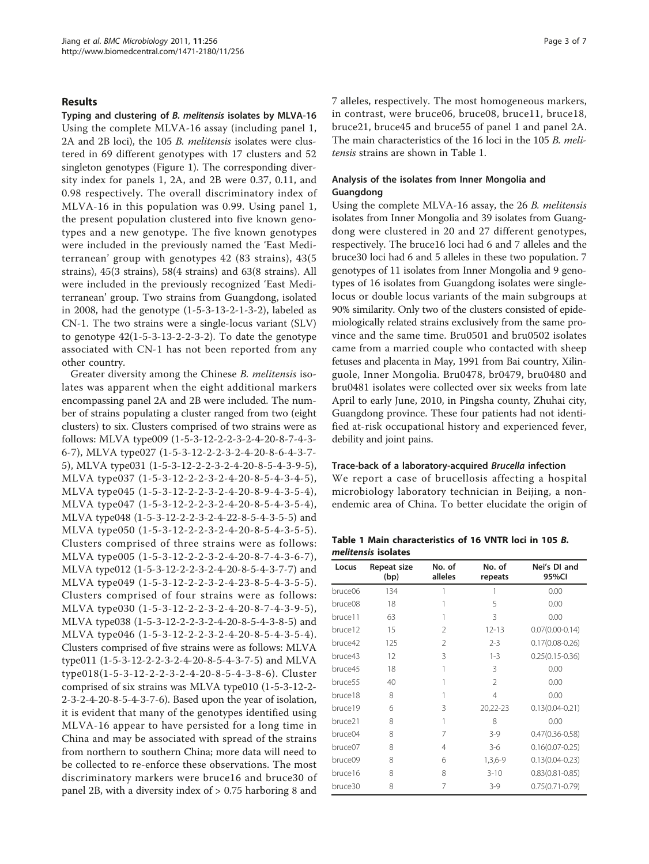# Results

Typing and clustering of B. melitensis isolates by MLVA-16 Using the complete MLVA-16 assay (including panel 1, 2A and 2B loci), the 105 B. melitensis isolates were clustered in 69 different genotypes with 17 clusters and 52 singleton genotypes (Figure [1](#page-1-0)). The corresponding diversity index for panels 1, 2A, and 2B were 0.37, 0.11, and 0.98 respectively. The overall discriminatory index of MLVA-16 in this population was 0.99. Using panel 1, the present population clustered into five known genotypes and a new genotype. The five known genotypes were included in the previously named the 'East Mediterranean' group with genotypes 42 (83 strains), 43(5 strains), 45(3 strains), 58(4 strains) and 63(8 strains). All were included in the previously recognized 'East Mediterranean' group. Two strains from Guangdong, isolated in 2008, had the genotype (1-5-3-13-2-1-3-2), labeled as CN-1. The two strains were a single-locus variant (SLV) to genotype  $42(1-5-3-13-2-2-3-2)$ . To date the genotype associated with CN-1 has not been reported from any other country.

Greater diversity among the Chinese B. melitensis isolates was apparent when the eight additional markers encompassing panel 2A and 2B were included. The number of strains populating a cluster ranged from two (eight clusters) to six. Clusters comprised of two strains were as follows: MLVA type009 (1-5-3-12-2-2-3-2-4-20-8-7-4-3- 6-7), MLVA type027 (1-5-3-12-2-2-3-2-4-20-8-6-4-3-7- 5), MLVA type031 (1-5-3-12-2-2-3-2-4-20-8-5-4-3-9-5), MLVA type037 (1-5-3-12-2-2-3-2-4-20-8-5-4-3-4-5), MLVA type045 (1-5-3-12-2-2-3-2-4-20-8-9-4-3-5-4), MLVA type047 (1-5-3-12-2-2-3-2-4-20-8-5-4-3-5-4), MLVA type048 (1-5-3-12-2-2-3-2-4-22-8-5-4-3-5-5) and MLVA type050 (1-5-3-12-2-2-3-2-4-20-8-5-4-3-5-5). Clusters comprised of three strains were as follows: MLVA type005 (1-5-3-12-2-2-3-2-4-20-8-7-4-3-6-7), MLVA type012 (1-5-3-12-2-2-3-2-4-20-8-5-4-3-7-7) and MLVA type049 (1-5-3-12-2-2-3-2-4-23-8-5-4-3-5-5). Clusters comprised of four strains were as follows: MLVA type030 (1-5-3-12-2-2-3-2-4-20-8-7-4-3-9-5), MLVA type038 (1-5-3-12-2-2-3-2-4-20-8-5-4-3-8-5) and MLVA type046 (1-5-3-12-2-2-3-2-4-20-8-5-4-3-5-4). Clusters comprised of five strains were as follows: MLVA type011 (1-5-3-12-2-2-3-2-4-20-8-5-4-3-7-5) and MLVA type018(1-5-3-12-2-2-3-2-4-20-8-5-4-3-8-6). Cluster comprised of six strains was MLVA type010 (1-5-3-12-2- 2-3-2-4-20-8-5-4-3-7-6). Based upon the year of isolation, it is evident that many of the genotypes identified using MLVA-16 appear to have persisted for a long time in China and may be associated with spread of the strains from northern to southern China; more data will need to be collected to re-enforce these observations. The most discriminatory markers were bruce16 and bruce30 of panel 2B, with a diversity index of > 0.75 harboring 8 and

7 alleles, respectively. The most homogeneous markers, in contrast, were bruce06, bruce08, bruce11, bruce18, bruce21, bruce45 and bruce55 of panel 1 and panel 2A. The main characteristics of the 16 loci in the 105 B. melitensis strains are shown in Table 1.

# Analysis of the isolates from Inner Mongolia and Guangdong

Using the complete MLVA-16 assay, the 26 B. melitensis isolates from Inner Mongolia and 39 isolates from Guangdong were clustered in 20 and 27 different genotypes, respectively. The bruce16 loci had 6 and 7 alleles and the bruce30 loci had 6 and 5 alleles in these two population. 7 genotypes of 11 isolates from Inner Mongolia and 9 genotypes of 16 isolates from Guangdong isolates were singlelocus or double locus variants of the main subgroups at 90% similarity. Only two of the clusters consisted of epidemiologically related strains exclusively from the same province and the same time. Bru0501 and bru0502 isolates came from a married couple who contacted with sheep fetuses and placenta in May, 1991 from Bai country, Xilinguole, Inner Mongolia. Bru0478, br0479, bru0480 and bru0481 isolates were collected over six weeks from late April to early June, 2010, in Pingsha county, Zhuhai city, Guangdong province. These four patients had not identified at-risk occupational history and experienced fever, debility and joint pains.

## Trace-back of a laboratory-acquired Brucella infection

We report a case of brucellosis affecting a hospital microbiology laboratory technician in Beijing, a nonendemic area of China. To better elucidate the origin of

Table 1 Main characteristics of 16 VNTR loci in 105 B. melitensis isolates

| Locus   | Repeat size<br>(bp) | No. of<br>alleles | No. of<br>repeats | Nei's DI and<br>95%CI |
|---------|---------------------|-------------------|-------------------|-----------------------|
| bruce06 | 134                 |                   | 1                 | 0.00                  |
| bruce08 | 18                  |                   | 5                 | 0.00                  |
| bruce11 | 63                  |                   | 3                 | 0.00                  |
| bruce12 | 15                  | $\mathcal{P}$     | $12 - 13$         | $0.07(0.00 - 0.14)$   |
| bruce42 | 125                 | $\mathcal{P}$     | $2 - 3$           | $0.17(0.08 - 0.26)$   |
| bruce43 | 12                  | 3                 | $1 - 3$           | $0.25(0.15 - 0.36)$   |
| bruce45 | 18                  |                   | 3                 | 0.00                  |
| bruce55 | 40                  |                   | 2                 | 0.00                  |
| bruce18 | 8                   | 1                 | 4                 | 0.00                  |
| bruce19 | 6                   | 3                 | 20,22-23          | $0.13(0.04 - 0.21)$   |
| bruce21 | 8                   | 1                 | 8                 | 0.00                  |
| bruce04 | 8                   | 7                 | $3-9$             | $0.47(0.36 - 0.58)$   |
| bruce07 | 8                   | 4                 | $3-6$             | $0.16(0.07 - 0.25)$   |
| bruce09 | 8                   | 6                 | $1,3,6-9$         | $0.13(0.04 - 0.23)$   |
| bruce16 | 8                   | 8                 | $3 - 10$          | $0.83(0.81 - 0.85)$   |
| bruce30 | 8                   | 7                 | $3-9$             | $0.75(0.71 - 0.79)$   |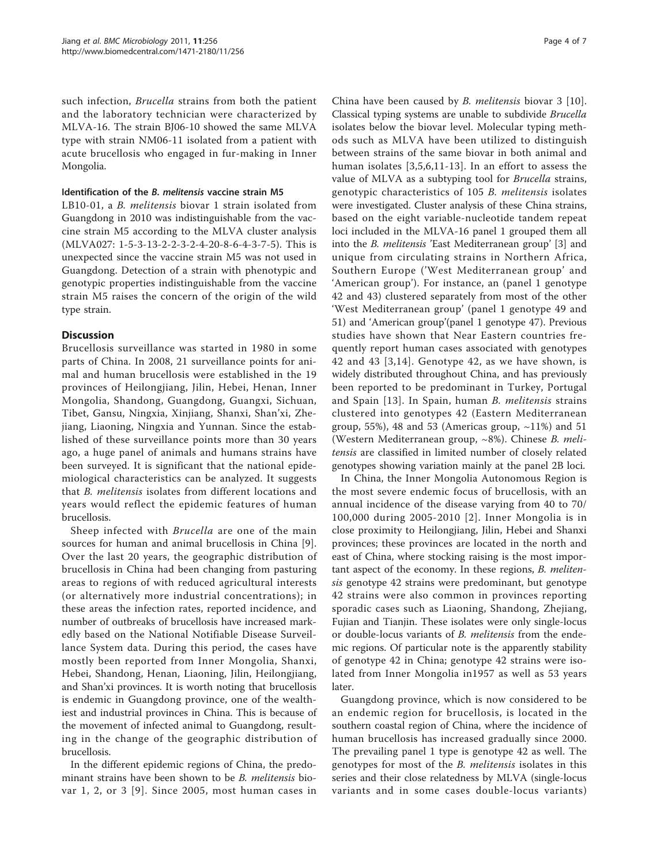such infection, Brucella strains from both the patient and the laboratory technician were characterized by MLVA-16. The strain BJ06-10 showed the same MLVA type with strain NM06-11 isolated from a patient with acute brucellosis who engaged in fur-making in Inner Mongolia.

# Identification of the B. melitensis vaccine strain M5

LB10-01, a B. melitensis biovar 1 strain isolated from Guangdong in 2010 was indistinguishable from the vaccine strain M5 according to the MLVA cluster analysis (MLVA027: 1-5-3-13-2-2-3-2-4-20-8-6-4-3-7-5). This is unexpected since the vaccine strain M5 was not used in Guangdong. Detection of a strain with phenotypic and genotypic properties indistinguishable from the vaccine strain M5 raises the concern of the origin of the wild type strain.

# **Discussion**

Brucellosis surveillance was started in 1980 in some parts of China. In 2008, 21 surveillance points for animal and human brucellosis were established in the 19 provinces of Heilongjiang, Jilin, Hebei, Henan, Inner Mongolia, Shandong, Guangdong, Guangxi, Sichuan, Tibet, Gansu, Ningxia, Xinjiang, Shanxi, Shan'xi, Zhejiang, Liaoning, Ningxia and Yunnan. Since the established of these surveillance points more than 30 years ago, a huge panel of animals and humans strains have been surveyed. It is significant that the national epidemiological characteristics can be analyzed. It suggests that B. melitensis isolates from different locations and years would reflect the epidemic features of human brucellosis.

Sheep infected with Brucella are one of the main sources for human and animal brucellosis in China [\[9](#page-5-0)]. Over the last 20 years, the geographic distribution of brucellosis in China had been changing from pasturing areas to regions of with reduced agricultural interests (or alternatively more industrial concentrations); in these areas the infection rates, reported incidence, and number of outbreaks of brucellosis have increased markedly based on the National Notifiable Disease Surveillance System data. During this period, the cases have mostly been reported from Inner Mongolia, Shanxi, Hebei, Shandong, Henan, Liaoning, Jilin, Heilongjiang, and Shan'xi provinces. It is worth noting that brucellosis is endemic in Guangdong province, one of the wealthiest and industrial provinces in China. This is because of the movement of infected animal to Guangdong, resulting in the change of the geographic distribution of brucellosis.

In the different epidemic regions of China, the predominant strains have been shown to be B. melitensis biovar 1, 2, or 3 [[9](#page-5-0)]. Since 2005, most human cases in

China have been caused by B. melitensis biovar 3 [[10](#page-5-0)]. Classical typing systems are unable to subdivide Brucella isolates below the biovar level. Molecular typing methods such as MLVA have been utilized to distinguish between strains of the same biovar in both animal and human isolates [[3,5](#page-5-0),[6,11-13](#page-5-0)]. In an effort to assess the value of MLVA as a subtyping tool for Brucella strains, genotypic characteristics of 105 B. melitensis isolates were investigated. Cluster analysis of these China strains, based on the eight variable-nucleotide tandem repeat loci included in the MLVA-16 panel 1 grouped them all into the B. melitensis 'East Mediterranean group' [\[3](#page-5-0)] and unique from circulating strains in Northern Africa, Southern Europe ('West Mediterranean group' and 'American group'). For instance, an (panel 1 genotype 42 and 43) clustered separately from most of the other 'West Mediterranean group' (panel 1 genotype 49 and 51) and 'American group'(panel 1 genotype 47). Previous studies have shown that Near Eastern countries frequently report human cases associated with genotypes 42 and 43 [[3](#page-5-0),[14](#page-5-0)]. Genotype 42, as we have shown, is widely distributed throughout China, and has previously been reported to be predominant in Turkey, Portugal and Spain [[13\]](#page-5-0). In Spain, human B. melitensis strains clustered into genotypes 42 (Eastern Mediterranean group, 55%), 48 and 53 (Americas group,  $\sim$ 11%) and 51 (Western Mediterranean group, ~8%). Chinese B. melitensis are classified in limited number of closely related genotypes showing variation mainly at the panel 2B loci.

In China, the Inner Mongolia Autonomous Region is the most severe endemic focus of brucellosis, with an annual incidence of the disease varying from 40 to 70/ 100,000 during 2005-2010 [[2](#page-5-0)]. Inner Mongolia is in close proximity to Heilongjiang, Jilin, Hebei and Shanxi provinces; these provinces are located in the north and east of China, where stocking raising is the most important aspect of the economy. In these regions, B. melitensis genotype 42 strains were predominant, but genotype 42 strains were also common in provinces reporting sporadic cases such as Liaoning, Shandong, Zhejiang, Fujian and Tianjin. These isolates were only single-locus or double-locus variants of B. melitensis from the endemic regions. Of particular note is the apparently stability of genotype 42 in China; genotype 42 strains were isolated from Inner Mongolia in1957 as well as 53 years later.

Guangdong province, which is now considered to be an endemic region for brucellosis, is located in the southern coastal region of China, where the incidence of human brucellosis has increased gradually since 2000. The prevailing panel 1 type is genotype 42 as well. The genotypes for most of the *B. melitensis* isolates in this series and their close relatedness by MLVA (single-locus variants and in some cases double-locus variants)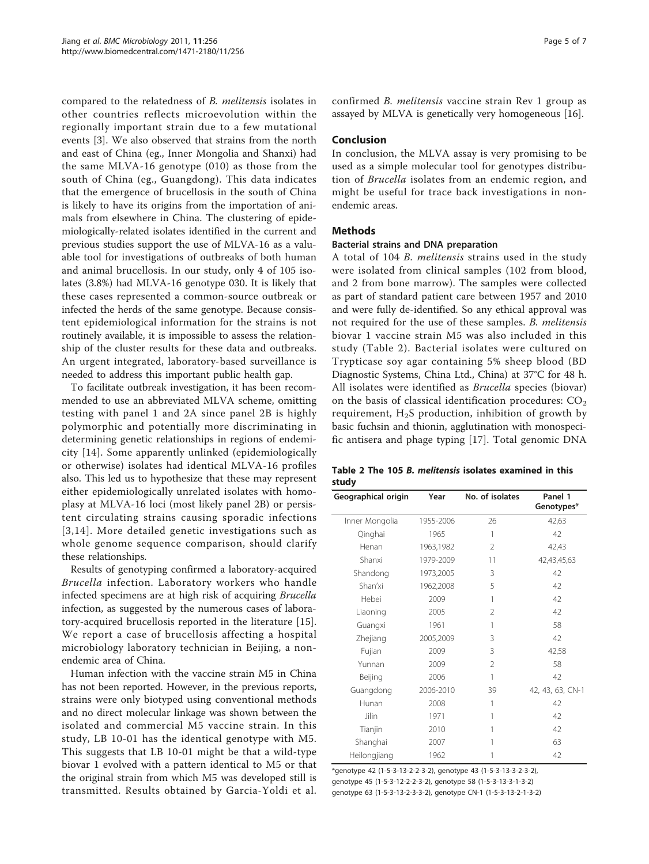compared to the relatedness of B. melitensis isolates in other countries reflects microevolution within the regionally important strain due to a few mutational events [[3\]](#page-5-0). We also observed that strains from the north and east of China (eg., Inner Mongolia and Shanxi) had the same MLVA-16 genotype (010) as those from the south of China (eg., Guangdong). This data indicates that the emergence of brucellosis in the south of China is likely to have its origins from the importation of animals from elsewhere in China. The clustering of epidemiologically-related isolates identified in the current and previous studies support the use of MLVA-16 as a valuable tool for investigations of outbreaks of both human and animal brucellosis. In our study, only 4 of 105 isolates (3.8%) had MLVA-16 genotype 030. It is likely that these cases represented a common-source outbreak or infected the herds of the same genotype. Because consistent epidemiological information for the strains is not routinely available, it is impossible to assess the relationship of the cluster results for these data and outbreaks. An urgent integrated, laboratory-based surveillance is needed to address this important public health gap.

To facilitate outbreak investigation, it has been recommended to use an abbreviated MLVA scheme, omitting testing with panel 1 and 2A since panel 2B is highly polymorphic and potentially more discriminating in determining genetic relationships in regions of endemicity [[14\]](#page-5-0). Some apparently unlinked (epidemiologically or otherwise) isolates had identical MLVA-16 profiles also. This led us to hypothesize that these may represent either epidemiologically unrelated isolates with homoplasy at MLVA-16 loci (most likely panel 2B) or persistent circulating strains causing sporadic infections [[3,14\]](#page-5-0). More detailed genetic investigations such as whole genome sequence comparison, should clarify these relationships.

Results of genotyping confirmed a laboratory-acquired Brucella infection. Laboratory workers who handle infected specimens are at high risk of acquiring Brucella infection, as suggested by the numerous cases of laboratory-acquired brucellosis reported in the literature [\[15](#page-5-0)]. We report a case of brucellosis affecting a hospital microbiology laboratory technician in Beijing, a nonendemic area of China.

Human infection with the vaccine strain M5 in China has not been reported. However, in the previous reports, strains were only biotyped using conventional methods and no direct molecular linkage was shown between the isolated and commercial M5 vaccine strain. In this study, LB 10-01 has the identical genotype with M5. This suggests that LB 10-01 might be that a wild-type biovar 1 evolved with a pattern identical to M5 or that the original strain from which M5 was developed still is transmitted. Results obtained by Garcia-Yoldi et al. confirmed B. melitensis vaccine strain Rev 1 group as assayed by MLVA is genetically very homogeneous [[16\]](#page-5-0).

# Conclusion

In conclusion, the MLVA assay is very promising to be used as a simple molecular tool for genotypes distribution of Brucella isolates from an endemic region, and might be useful for trace back investigations in nonendemic areas.

# **Methods**

#### Bacterial strains and DNA preparation

A total of 104 B. melitensis strains used in the study were isolated from clinical samples (102 from blood, and 2 from bone marrow). The samples were collected as part of standard patient care between 1957 and 2010 and were fully de-identified. So any ethical approval was not required for the use of these samples. B. melitensis biovar 1 vaccine strain M5 was also included in this study (Table 2). Bacterial isolates were cultured on Trypticase soy agar containing 5% sheep blood (BD Diagnostic Systems, China Ltd., China) at 37°C for 48 h. All isolates were identified as Brucella species (biovar) on the basis of classical identification procedures:  $CO<sub>2</sub>$ requirement,  $H_2S$  production, inhibition of growth by basic fuchsin and thionin, agglutination with monospecific antisera and phage typing [[17\]](#page-6-0). Total genomic DNA

|       |  |  |  | Table 2 The 105 B. melitensis isolates examined in this |  |
|-------|--|--|--|---------------------------------------------------------|--|
| study |  |  |  |                                                         |  |

| Geographical origin | Year      | No. of isolates | Panel 1<br>Genotypes* |
|---------------------|-----------|-----------------|-----------------------|
| Inner Mongolia      | 1955-2006 | 26              | 42,63                 |
| Qinghai             | 1965      | 1               | 42                    |
| Henan               | 1963,1982 | 2               | 42,43                 |
| Shanxi              | 1979-2009 | 11              | 42,43,45,63           |
| Shandong            | 1973,2005 | 3               | 42                    |
| Shan'xi             | 1962,2008 | 5               | 42                    |
| Hebei               | 2009      | 1               | 42                    |
| Liaoning            | 2005      | $\mathfrak{D}$  | 42                    |
| Guangxi             | 1961      | 1               | 58                    |
| Zhejiang            | 2005,2009 | 3               | 42                    |
| Fujian              | 2009      | 3               | 42,58                 |
| Yunnan              | 2009      | $\mathfrak{D}$  | 58                    |
| Beijing             | 2006      | 1               | 42                    |
| Guangdong           | 2006-2010 | 39              | 42, 43, 63, CN-1      |
| Hunan               | 2008      | 1               | 42                    |
| Jilin               | 1971      | 1               | 42                    |
| Tianjin             | 2010      | 1               | 42                    |
| Shanghai            | 2007      |                 | 63                    |
| Heilongjiang        | 1962      |                 | 42                    |

\*genotype 42 (1-5-3-13-2-2-3-2), genotype 43 (1-5-3-13-3-2-3-2), genotype 45 (1-5-3-12-2-2-3-2), genotype 58 (1-5-3-13-3-1-3-2) genotype 63 (1-5-3-13-2-3-3-2), genotype CN-1 (1-5-3-13-2-1-3-2)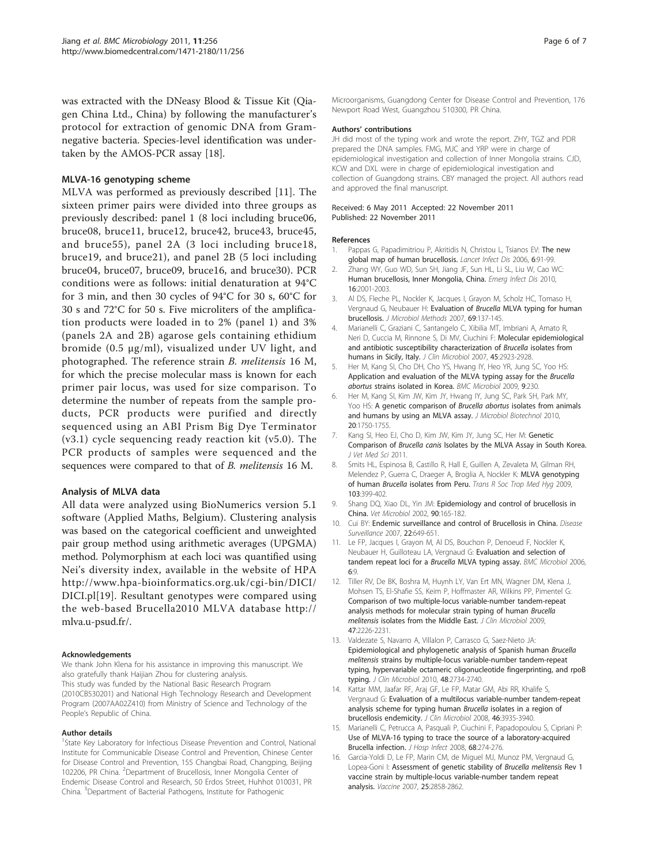<span id="page-5-0"></span>was extracted with the DNeasy Blood & Tissue Kit (Qiagen China Ltd., China) by following the manufacturer's protocol for extraction of genomic DNA from Gramnegative bacteria. Species-level identification was undertaken by the AMOS-PCR assay [\[18](#page-6-0)].

# MLVA-16 genotyping scheme

MLVA was performed as previously described [11]. The sixteen primer pairs were divided into three groups as previously described: panel 1 (8 loci including bruce06, bruce08, bruce11, bruce12, bruce42, bruce43, bruce45, and bruce55), panel 2A (3 loci including bruce18, bruce19, and bruce21), and panel 2B (5 loci including bruce04, bruce07, bruce09, bruce16, and bruce30). PCR conditions were as follows: initial denaturation at 94°C for 3 min, and then 30 cycles of 94°C for 30 s, 60°C for 30 s and 72°C for 50 s. Five microliters of the amplification products were loaded in to 2% (panel 1) and 3% (panels 2A and 2B) agarose gels containing ethidium bromide (0.5 μg/ml), visualized under UV light, and photographed. The reference strain B. melitensis 16 M, for which the precise molecular mass is known for each primer pair locus, was used for size comparison. To determine the number of repeats from the sample products, PCR products were purified and directly sequenced using an ABI Prism Big Dye Terminator (v3.1) cycle sequencing ready reaction kit (v5.0). The PCR products of samples were sequenced and the sequences were compared to that of B. melitensis 16 M.

## Analysis of MLVA data

All data were analyzed using BioNumerics version 5.1 software (Applied Maths, Belgium). Clustering analysis was based on the categorical coefficient and unweighted pair group method using arithmetic averages (UPGMA) method. Polymorphism at each loci was quantified using Nei's diversity index, available in the website of HPA [http://www.hpa-bioinformatics.org.uk/cgi-bin/DICI/](http://www.hpa-bioinformatics.org.uk/cgi-bin/DICI/DICI.pl) [DICI.pl](http://www.hpa-bioinformatics.org.uk/cgi-bin/DICI/DICI.pl)[\[19\]](#page-6-0). Resultant genotypes were compared using the web-based Brucella2010 MLVA database [http://](http://mlva.u-psud.fr/) [mlva.u-psud.fr/.](http://mlva.u-psud.fr/)

#### Acknowledgements

We thank John Klena for his assistance in improving this manuscript. We also gratefully thank Haijian Zhou for clustering analysis. This study was funded by the National Basic Research Program (2010CB530201) and National High Technology Research and Development Program (2007AA02Z410) from Ministry of Science and Technology of the People's Republic of China.

#### Author details

<sup>1</sup>State Key Laboratory for Infectious Disease Prevention and Control, National Institute for Communicable Disease Control and Prevention, Chinese Center for Disease Control and Prevention, 155 Changbai Road, Changping, Beijing 102206, PR China. <sup>2</sup>Department of Brucellosis, Inner Mongolia Center of Endemic Disease Control and Research, 50 Erdos Street, Huhhot 010031, PR China. <sup>3</sup>Department of Bacterial Pathogens, Institute for Pathogenic

Microorganisms, Guangdong Center for Disease Control and Prevention, 176 Newport Road West, Guangzhou 510300, PR China.

#### Authors' contributions

JH did most of the typing work and wrote the report. ZHY, TGZ and PDR prepared the DNA samples. FMG, MJC and YRP were in charge of epidemiological investigation and collection of Inner Mongolia strains. CJD, KCW and DXL were in charge of epidemiological investigation and collection of Guangdong strains. CBY managed the project. All authors read and approved the final manuscript.

#### Received: 6 May 2011 Accepted: 22 November 2011 Published: 22 November 2011

#### References

- 1. Pappas G, Papadimitriou P, Akritidis N, Christou L, Tsianos EV: [The new](http://www.ncbi.nlm.nih.gov/pubmed/16439329?dopt=Abstract) [global map of human brucellosis.](http://www.ncbi.nlm.nih.gov/pubmed/16439329?dopt=Abstract) Lancet Infect Dis 2006, 6:91-99.
- 2. Zhang WY, Guo WD, Sun SH, Jiang JF, Sun HL, Li SL, Liu W, Cao WC: [Human brucellosis, Inner Mongolia, China.](http://www.ncbi.nlm.nih.gov/pubmed/21122244?dopt=Abstract) Emerg Infect Dis 2010, 16:2001-2003.
- 3. Al DS, Fleche PL, Nockler K, Jacques I, Grayon M, Scholz HC, Tomaso H, Vergnaud G, Neubauer H: Evaluation of Brucella [MLVA typing for human](http://www.ncbi.nlm.nih.gov/pubmed/17261338?dopt=Abstract) [brucellosis.](http://www.ncbi.nlm.nih.gov/pubmed/17261338?dopt=Abstract) J Microbiol Methods 2007, 69:137-145.
- 4. Marianelli C, Graziani C, Santangelo C, Xibilia MT, Imbriani A, Amato R, Neri D, Cuccia M, Rinnone S, Di MV, Ciuchini F: [Molecular epidemiological](http://www.ncbi.nlm.nih.gov/pubmed/17634297?dopt=Abstract) [and antibiotic susceptibility characterization of](http://www.ncbi.nlm.nih.gov/pubmed/17634297?dopt=Abstract) Brucella isolates from [humans in Sicily, Italy.](http://www.ncbi.nlm.nih.gov/pubmed/17634297?dopt=Abstract) J Clin Microbiol 2007, 45:2923-2928.
- 5. Her M, Kang SI, Cho DH, Cho YS, Hwang IY, Heo YR, Jung SC, Yoo HS: [Application and evaluation of the MLVA typing assay for the](http://www.ncbi.nlm.nih.gov/pubmed/19863821?dopt=Abstract) Brucella abortus [strains isolated in Korea.](http://www.ncbi.nlm.nih.gov/pubmed/19863821?dopt=Abstract) BMC Microbiol 2009, 9:230.
- Her M, Kang SI, Kim JW, Kim JY, Hwang IY, Jung SC, Park SH, Park MY, Yoo HS: [A genetic comparison of](http://www.ncbi.nlm.nih.gov/pubmed/21193833?dopt=Abstract) Brucella abortus isolates from animals [and humans by using an MLVA assay.](http://www.ncbi.nlm.nih.gov/pubmed/21193833?dopt=Abstract) J Microbiol Biotechnol 2010, 20:1750-1755.
- 7. Kang SI, Heo EJ, Cho D, Kim JW, Kim JY, Jung SC, Her M: Genetic Comparison of Brucella canis Isolates by the MLVA Assay in South Korea. J Vet Med Sci 2011.
- 8. Smits HL, Espinosa B, Castillo R, Hall E, Guillen A, Zevaleta M, Gilman RH, Melendez P, Guerra C, Draeger A, Broglia A, Nockler K: [MLVA genotyping](http://www.ncbi.nlm.nih.gov/pubmed/19027131?dopt=Abstract) of human Brucella [isolates from Peru.](http://www.ncbi.nlm.nih.gov/pubmed/19027131?dopt=Abstract) Trans R Soc Trop Med Hyg 2009, 103:399-402.
- 9. Shang DQ, Xiao DL, Yin JM: [Epidemiology and control of brucellosis in](http://www.ncbi.nlm.nih.gov/pubmed/12414142?dopt=Abstract) [China.](http://www.ncbi.nlm.nih.gov/pubmed/12414142?dopt=Abstract) Vet Microbiol 2002, 90:165-182.
- 10. Cui BY: Endemic surveillance and control of Brucellosis in China. Disease Surveillance 2007, 22:649-651.
- 11. Le FP, Jacques I, Grayon M, Al DS, Bouchon P, Denoeud F, Nockler K, Neubauer H, Guilloteau LA, Vergnaud G: [Evaluation and selection of](http://www.ncbi.nlm.nih.gov/pubmed/16469109?dopt=Abstract) [tandem repeat loci for a](http://www.ncbi.nlm.nih.gov/pubmed/16469109?dopt=Abstract) Brucella MLVA typing assay. BMC Microbiol 2006, 6:9.
- 12. Tiller RV, De BK, Boshra M, Huynh LY, Van Ert MN, Wagner DM, Klena J, Mohsen TS, El-Shafie SS, Keim P, Hoffmaster AR, Wilkins PP, Pimentel G: [Comparison of two multiple-locus variable-number tandem-repeat](http://www.ncbi.nlm.nih.gov/pubmed/19439543?dopt=Abstract) [analysis methods for molecular strain typing of human](http://www.ncbi.nlm.nih.gov/pubmed/19439543?dopt=Abstract) Brucella melitensis [isolates from the Middle East.](http://www.ncbi.nlm.nih.gov/pubmed/19439543?dopt=Abstract) J Clin Microbiol 2009, 47:2226-2231.
- 13. Valdezate S, Navarro A, Villalon P, Carrasco G, Saez-Nieto JA: [Epidemiological and phylogenetic analysis of Spanish human](http://www.ncbi.nlm.nih.gov/pubmed/20554816?dopt=Abstract) Brucella melitensis [strains by multiple-locus variable-number tandem-repeat](http://www.ncbi.nlm.nih.gov/pubmed/20554816?dopt=Abstract) [typing, hypervariable octameric oligonucleotide fingerprinting, and rpoB](http://www.ncbi.nlm.nih.gov/pubmed/20554816?dopt=Abstract) [typing.](http://www.ncbi.nlm.nih.gov/pubmed/20554816?dopt=Abstract) J Clin Microbiol 2010, 48:2734-2740.
- 14. Kattar MM, Jaafar RF, Araj GF, Le FP, Matar GM, Abi RR, Khalife S, Vergnaud G: [Evaluation of a multilocus variable-number tandem-repeat](http://www.ncbi.nlm.nih.gov/pubmed/18923007?dopt=Abstract) [analysis scheme for typing human](http://www.ncbi.nlm.nih.gov/pubmed/18923007?dopt=Abstract) Brucella isolates in a region of [brucellosis endemicity.](http://www.ncbi.nlm.nih.gov/pubmed/18923007?dopt=Abstract) J Clin Microbiol 2008, 46:3935-3940.
- 15. Marianelli C, Petrucca A, Pasquali P, Ciuchini F, Papadopoulou S, Cipriani P: [Use of MLVA-16 typing to trace the source of a laboratory-acquired](http://www.ncbi.nlm.nih.gov/pubmed/18289724?dopt=Abstract) [Brucella infection.](http://www.ncbi.nlm.nih.gov/pubmed/18289724?dopt=Abstract) J Hosp Infect 2008, 68:274-276.
- 16. Garcia-Yoldi D, Le FP, Marin CM, de Miguel MJ, Munoz PM, Vergnaud G, Lopea-Goni I: [Assessment of genetic stability of](http://www.ncbi.nlm.nih.gov/pubmed/17050051?dopt=Abstract) Brucella melitensis Rev 1 [vaccine strain by multiple-locus variable-number tandem repeat](http://www.ncbi.nlm.nih.gov/pubmed/17050051?dopt=Abstract) [analysis.](http://www.ncbi.nlm.nih.gov/pubmed/17050051?dopt=Abstract) Vaccine 2007, 25:2858-2862.